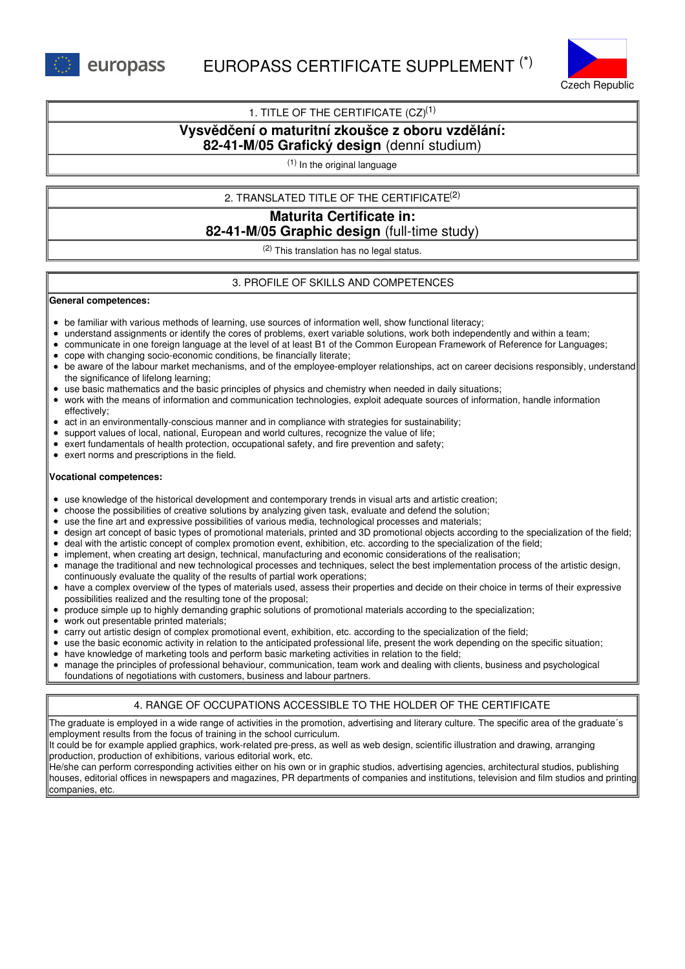

## 1. TITLE OF THE CERTIFICATE  $(CZ)^{(1)}$

# **Vysvědčení o maturitní zkoušce z oboru vzdělání:**

# **82-41-M/05 Grafický design** (denní studium)

(1) In the original language

### 2. TRANSLATED TITLE OF THE CERTIFICATE (2)

# **Maturita Certificate in: 82-41-M/05 Graphic design** (full-time study)

 $(2)$  This translation has no legal status.

## 3. PROFILE OF SKILLS AND COMPETENCES

#### **General competences:**

- be familiar with various methods of learning, use sources of information well, show functional literacy;
- understand assignments or identify the cores of problems, exert variable solutions, work both independently and within a team;
- communicate in one foreign language at the level of at least B1 of the Common European Framework of Reference for Languages;
- cope with changing socio-economic conditions, be financially literate;
- be aware of the labour market mechanisms, and of the employee-employer relationships, act on career decisions responsibly, understand the significance of lifelong learning;
- use basic mathematics and the basic principles of physics and chemistry when needed in daily situations;
- work with the means of information and communication technologies, exploit adequate sources of information, handle information effectively;
- $\bullet$ act in an environmentally-conscious manner and in compliance with strategies for sustainability;
- support values of local, national, European and world cultures, recognize the value of life;
- exert fundamentals of health protection, occupational safety, and fire prevention and safety;
- exert norms and prescriptions in the field.

#### **Vocational competences:**

- use knowledge of the historical development and contemporary trends in visual arts and artistic creation;
- choose the possibilities of creative solutions by analyzing given task, evaluate and defend the solution;
- use the fine art and expressive possibilities of various media, technological processes and materials;
- design art concept of basic types of promotional materials, printed and 3D promotional objects according to the specialization of the field;
- deal with the artistic concept of complex promotion event, exhibition, etc. according to the specialization of the field;
- implement, when creating art design, technical, manufacturing and economic considerations of the realisation;
- manage the traditional and new technological processes and techniques, select the best implementation process of the artistic design, continuously evaluate the quality of the results of partial work operations;
- have a complex overview of the types of materials used, assess their properties and decide on their choice in terms of their expressive possibilities realized and the resulting tone of the proposal;
- produce simple up to highly demanding graphic solutions of promotional materials according to the specialization;
- work out presentable printed materials;
- carry out artistic design of complex promotional event, exhibition, etc. according to the specialization of the field;
- use the basic economic activity in relation to the anticipated professional life, present the work depending on the specific situation;
- have knowledge of marketing tools and perform basic marketing activities in relation to the field;
- manage the principles of professional behaviour, communication, team work and dealing with clients, business and psychological foundations of negotiations with customers, business and labour partners.

# 4. RANGE OF OCCUPATIONS ACCESSIBLE TO THE HOLDER OF THE CERTIFICATE

The graduate is employed in a wide range of activities in the promotion, advertising and literary culture. The specific area of the graduate´s employment results from the focus of training in the school curriculum.

It could be for example applied graphics, work-related pre-press, as well as web design, scientific illustration and drawing, arranging  $\parallel$ production, production of exhibitions, various editorial work, etc.

He/she can perform corresponding activities either on his own or in graphic studios, advertising agencies, architectural studios, publishing houses, editorial offices in newspapers and magazines, PR departments of companies and institutions, television and film studios and printing companies, etc.